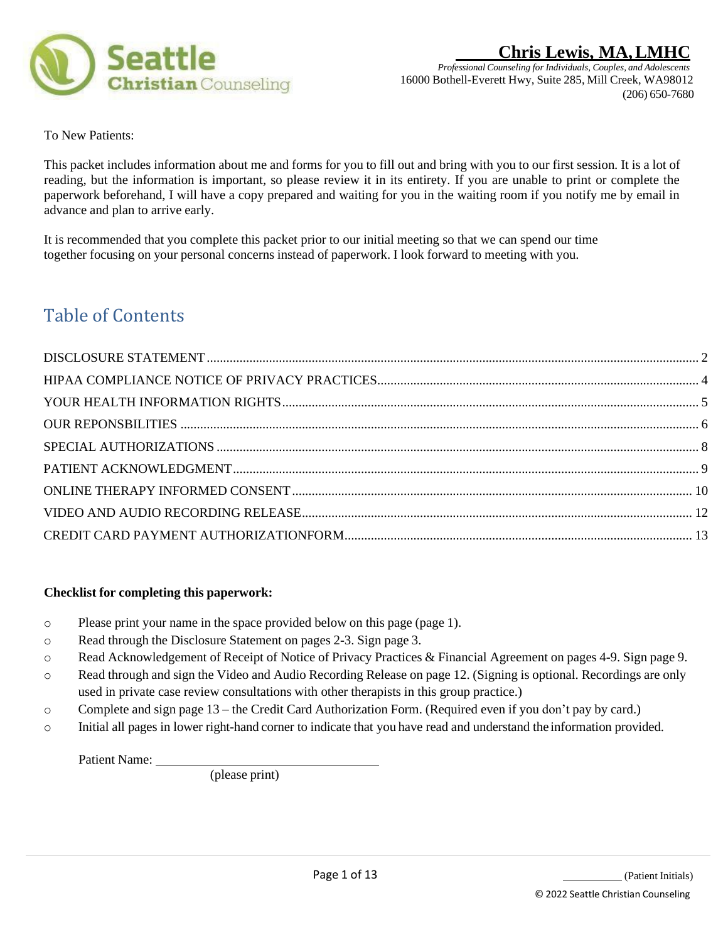

To New Patients:

This packet includes information about me and forms for you to fill out and bring with you to our first session. It is a lot of reading, but the information is important, so please review it in its entirety. If you are unable to print or complete the paperwork beforehand, I will have a copy prepared and waiting for you in the waiting room if you notify me by email in advance and plan to arrive early.

It is recommended that you complete this packet prior to our initial meeting so that we can spend our time together focusing on your personal concerns instead of paperwork. I look forward to meeting with you.

# Table of Contents

### **Checklist for completing this paperwork:**

- o Please print your name in the space provided below on this page (page 1).
- o Read through the Disclosure Statement on pages 2-3. Sign page 3.
- o Read Acknowledgement of Receipt of Notice of Privacy Practices & Financial Agreement on pages 4-9. Sign page 9.
- o Read through and sign the Video and Audio Recording Release on page 12. (Signing is optional. Recordings are only used in private case review consultations with other therapists in this group practice.)
- o Complete and sign page 13 the Credit Card Authorization Form. (Required even if you don't pay by card.)
- o Initial all pages in lower right-hand corner to indicate that you have read and understand the information provided.

Patient Name:

(please print)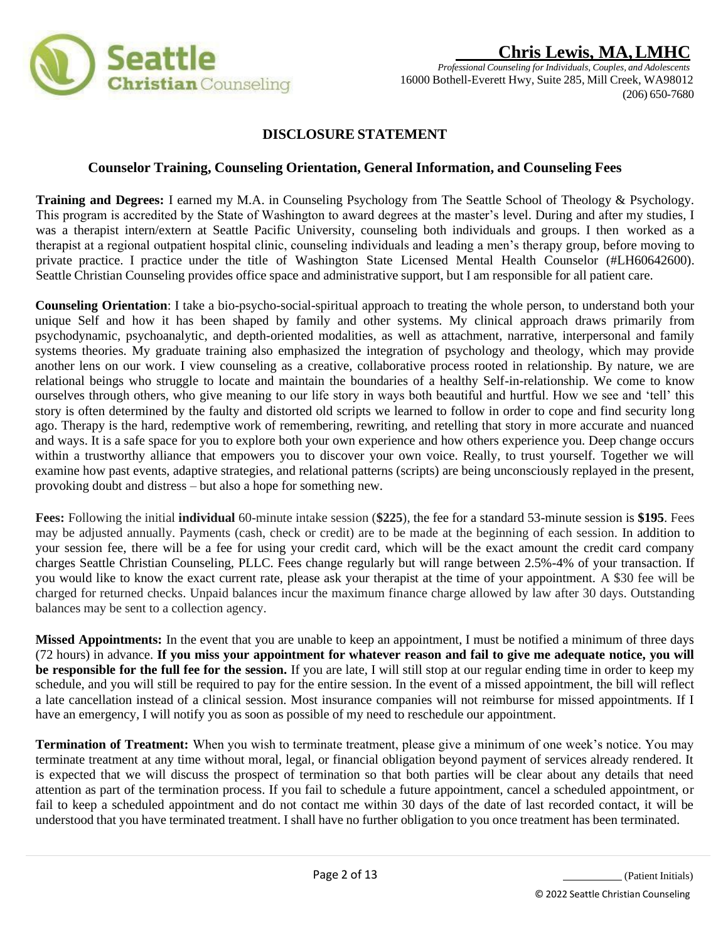

## **DISCLOSURE STATEMENT**

### **Counselor Training, Counseling Orientation, General Information, and Counseling Fees**

**Training and Degrees:** I earned my M.A. in Counseling Psychology from The Seattle School of Theology & Psychology. This program is accredited by the State of Washington to award degrees at the master's level. During and after my studies, I was a therapist intern/extern at Seattle Pacific University, counseling both individuals and groups. I then worked as a therapist at a regional outpatient hospital clinic, counseling individuals and leading a men's therapy group, before moving to private practice. I practice under the title of Washington State Licensed Mental Health Counselor (#LH60642600). Seattle Christian Counseling provides office space and administrative support, but I am responsible for all patient care.

**Counseling Orientation**: I take a bio-psycho-social-spiritual approach to treating the whole person, to understand both your unique Self and how it has been shaped by family and other systems. My clinical approach draws primarily from psychodynamic, psychoanalytic, and depth-oriented modalities, as well as attachment, narrative, interpersonal and family systems theories. My graduate training also emphasized the integration of psychology and theology, which may provide another lens on our work. I view counseling as a creative, collaborative process rooted in relationship. By nature, we are relational beings who struggle to locate and maintain the boundaries of a healthy Self-in-relationship. We come to know ourselves through others, who give meaning to our life story in ways both beautiful and hurtful. How we see and 'tell' this story is often determined by the faulty and distorted old scripts we learned to follow in order to cope and find security long ago. Therapy is the hard, redemptive work of remembering, rewriting, and retelling that story in more accurate and nuanced and ways. It is a safe space for you to explore both your own experience and how others experience you. Deep change occurs within a trustworthy alliance that empowers you to discover your own voice. Really, to trust yourself. Together we will examine how past events, adaptive strategies, and relational patterns (scripts) are being unconsciously replayed in the present, provoking doubt and distress – but also a hope for something new.

**Fees:** Following the initial **individual** 60-minute intake session (**\$225**), the fee for a standard 53-minute session is **\$195**. Fees may be adjusted annually. Payments (cash, check or credit) are to be made at the beginning of each session. In addition to your session fee, there will be a fee for using your credit card, which will be the exact amount the credit card company charges Seattle Christian Counseling, PLLC. Fees change regularly but will range between 2.5%-4% of your transaction. If you would like to know the exact current rate, please ask your therapist at the time of your appointment. A \$30 fee will be charged for returned checks. Unpaid balances incur the maximum finance charge allowed by law after 30 days. Outstanding balances may be sent to a collection agency.

**Missed Appointments:** In the event that you are unable to keep an appointment, I must be notified a minimum of three days (72 hours) in advance. **If you miss your appointment for whatever reason and fail to give me adequate notice, you will be responsible for the full fee for the session.** If you are late, I will still stop at our regular ending time in order to keep my schedule, and you will still be required to pay for the entire session. In the event of a missed appointment, the bill will reflect a late cancellation instead of a clinical session. Most insurance companies will not reimburse for missed appointments. If I have an emergency, I will notify you as soon as possible of my need to reschedule our appointment.

**Termination of Treatment:** When you wish to terminate treatment, please give a minimum of one week's notice. You may terminate treatment at any time without moral, legal, or financial obligation beyond payment of services already rendered. It is expected that we will discuss the prospect of termination so that both parties will be clear about any details that need attention as part of the termination process. If you fail to schedule a future appointment, cancel a scheduled appointment, or fail to keep a scheduled appointment and do not contact me within 30 days of the date of last recorded contact, it will be understood that you have terminated treatment. I shall have no further obligation to you once treatment has been terminated.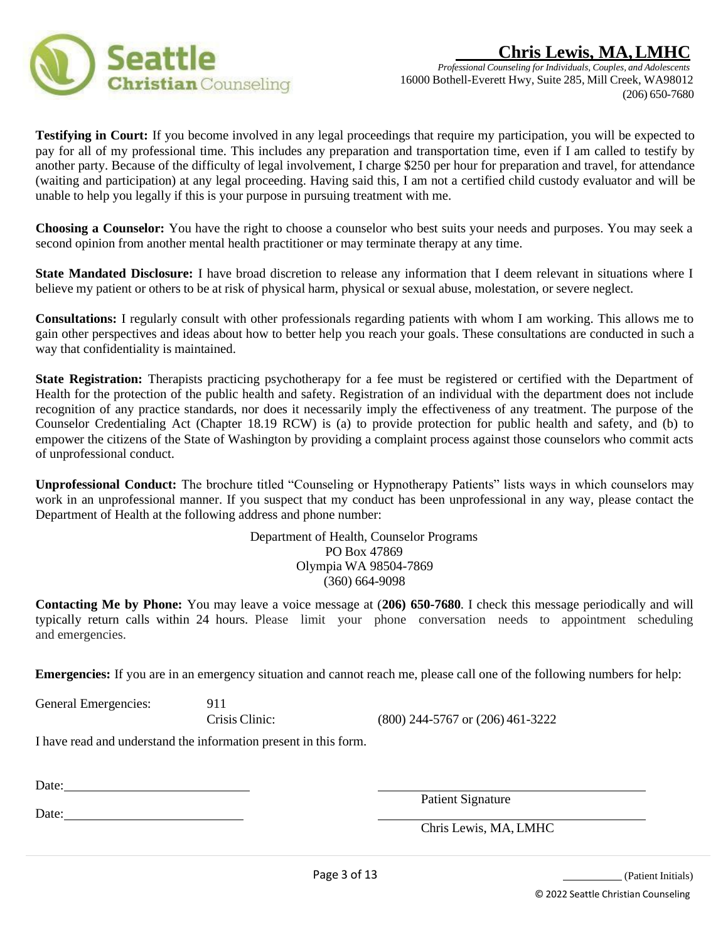



**Testifying in Court:** If you become involved in any legal proceedings that require my participation, you will be expected to pay for all of my professional time. This includes any preparation and transportation time, even if I am called to testify by another party. Because of the difficulty of legal involvement, I charge \$250 per hour for preparation and travel, for attendance (waiting and participation) at any legal proceeding. Having said this, I am not a certified child custody evaluator and will be unable to help you legally if this is your purpose in pursuing treatment with me.

**Choosing a Counselor:** You have the right to choose a counselor who best suits your needs and purposes. You may seek a second opinion from another mental health practitioner or may terminate therapy at any time.

**State Mandated Disclosure:** I have broad discretion to release any information that I deem relevant in situations where I believe my patient or others to be at risk of physical harm, physical or sexual abuse, molestation, or severe neglect.

**Consultations:** I regularly consult with other professionals regarding patients with whom I am working. This allows me to gain other perspectives and ideas about how to better help you reach your goals. These consultations are conducted in such a way that confidentiality is maintained.

**State Registration:** Therapists practicing psychotherapy for a fee must be registered or certified with the Department of Health for the protection of the public health and safety. Registration of an individual with the department does not include recognition of any practice standards, nor does it necessarily imply the effectiveness of any treatment. The purpose of the Counselor Credentialing Act (Chapter 18.19 RCW) is (a) to provide protection for public health and safety, and (b) to empower the citizens of the State of Washington by providing a complaint process against those counselors who commit acts of unprofessional conduct.

**Unprofessional Conduct:** The brochure titled "Counseling or Hypnotherapy Patients" lists ways in which counselors may work in an unprofessional manner. If you suspect that my conduct has been unprofessional in any way, please contact the Department of Health at the following address and phone number:

> Department of Health, Counselor Programs PO Box 47869 Olympia WA 98504-7869 (360) 664-9098

**Contacting Me by Phone:** You may leave a voice message at (**206) 650-7680**. I check this message periodically and will typically return calls within 24 hours. Please limit your phone conversation needs to appointment scheduling and emergencies.

**Emergencies:** If you are in an emergency situation and cannot reach me, please call one of the following numbers for help:

General Emergencies: 911

Crisis Clinic: (800) 244-5767 or (206) 461-3222

I have read and understand the information present in this form.

Date:

Date:

Patient Signature

Chris Lewis, MA, LMHC

(Patient Initials)

© 2022 Seattle Christian Counseling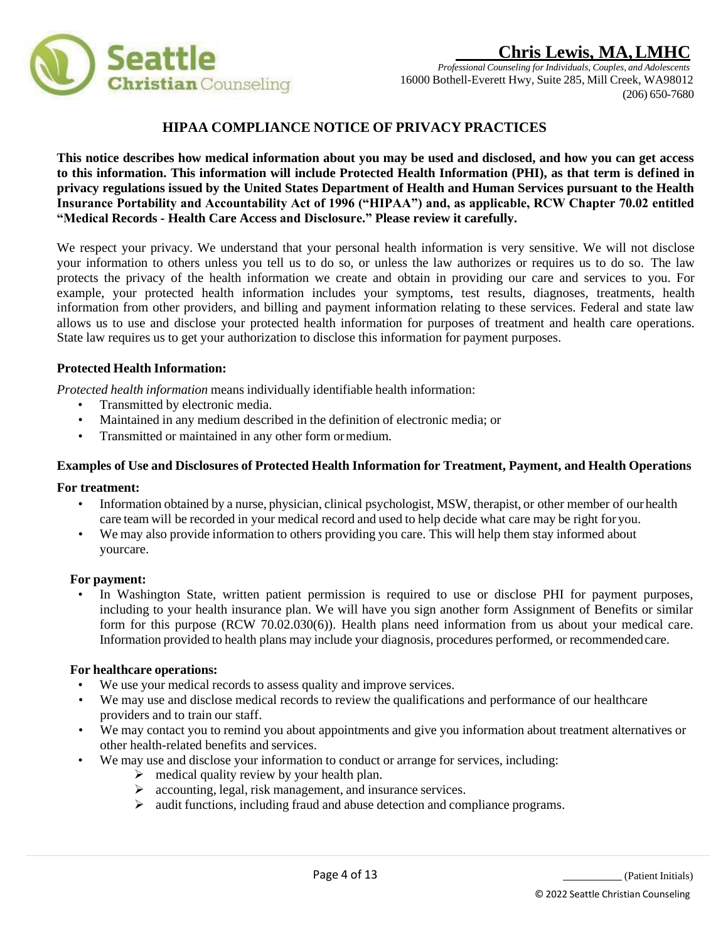

## **HIPAA COMPLIANCE NOTICE OF PRIVACY PRACTICES**

**This notice describes how medical information about you may be used and disclosed, and how you can get access to this information. This information will include Protected Health Information (PHI), as that term is defined in privacy regulations issued by the United States Department of Health and Human Services pursuant to the Health Insurance Portability and Accountability Act of 1996 ("HIPAA") and, as applicable, RCW Chapter 70.02 entitled "Medical Records - Health Care Access and Disclosure." Please review it carefully.**

We respect your privacy. We understand that your personal health information is very sensitive. We will not disclose your information to others unless you tell us to do so, or unless the law authorizes or requires us to do so. The law protects the privacy of the health information we create and obtain in providing our care and services to you. For example, your protected health information includes your symptoms, test results, diagnoses, treatments, health information from other providers, and billing and payment information relating to these services. Federal and state law allows us to use and disclose your protected health information for purposes of treatment and health care operations. State law requires us to get your authorization to disclose this information for payment purposes.

### **Protected Health Information:**

*Protected health information* means individually identifiable health information:

- Transmitted by electronic media.
- Maintained in any medium described in the definition of electronic media; or
- Transmitted or maintained in any other form ormedium.

### **Examples of Use and Disclosures of Protected Health Information for Treatment, Payment, and Health Operations**

### **For treatment:**

- Information obtained by a nurse, physician, clinical psychologist, MSW, therapist, or other member of ourhealth care team will be recorded in your medical record and used to help decide what care may be right for you.
- We may also provide information to others providing you care. This will help them stay informed about yourcare.

### **For payment:**

• In Washington State, written patient permission is required to use or disclose PHI for payment purposes, including to your health insurance plan. We will have you sign another form Assignment of Benefits or similar form for this purpose (RCW 70.02.030(6)). Health plans need information from us about your medical care. Information provided to health plans may include your diagnosis, procedures performed, or recommendedcare.

### **For healthcare operations:**

- We use your medical records to assess quality and improve services.
- We may use and disclose medical records to review the qualifications and performance of our healthcare providers and to train our staff.
- We may contact you to remind you about appointments and give you information about treatment alternatives or other health-related benefits and services.
- We may use and disclose your information to conduct or arrange for services, including:
	- $\triangleright$  medical quality review by your health plan.
	- ➢ accounting, legal, risk management, and insurance services.
	- ➢ audit functions, including fraud and abuse detection and compliance programs.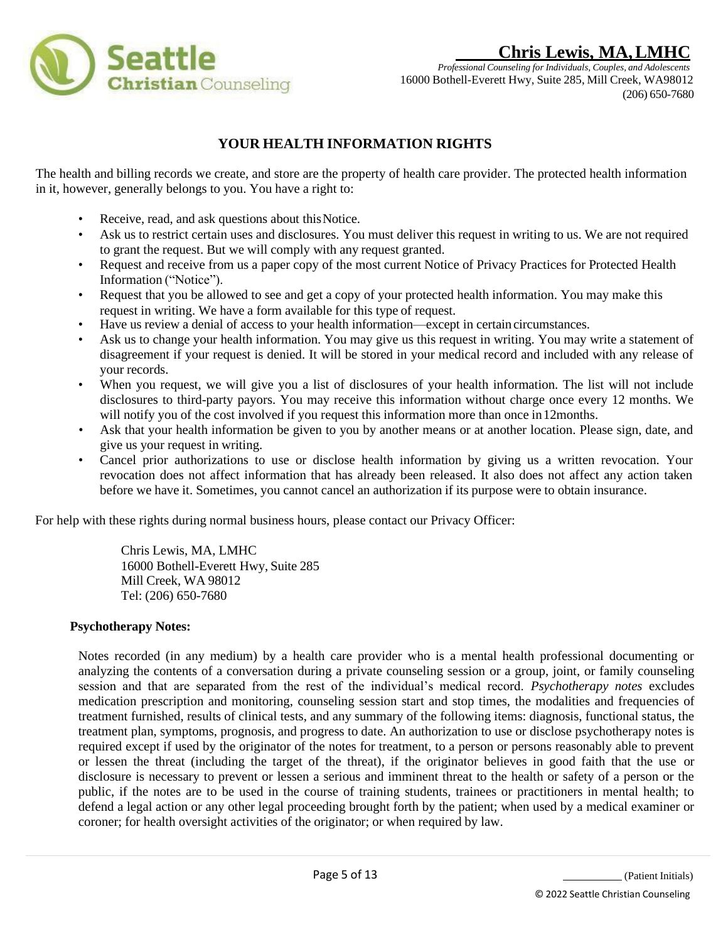

*Professional Counseling for Individuals, Couples, and Adolescents* 16000 Bothell-Everett Hwy, Suite 285, Mill Creek, WA98012 (206) 650-7680

## **YOUR HEALTH INFORMATION RIGHTS**

The health and billing records we create, and store are the property of health care provider. The protected health information in it, however, generally belongs to you. You have a right to:

- Receive, read, and ask questions about this Notice.
- Ask us to restrict certain uses and disclosures. You must deliver this request in writing to us. We are not required to grant the request. But we will comply with any request granted.
- Request and receive from us a paper copy of the most current Notice of Privacy Practices for Protected Health Information ("Notice").
- Request that you be allowed to see and get a copy of your protected health information. You may make this request in writing. We have a form available for this type of request.
- Have us review a denial of access to your health information—except in certain circumstances.
- Ask us to change your health information. You may give us this request in writing. You may write a statement of disagreement if your request is denied. It will be stored in your medical record and included with any release of your records.
- When you request, we will give you a list of disclosures of your health information. The list will not include disclosures to third-party payors. You may receive this information without charge once every 12 months. We will notify you of the cost involved if you request this information more than once in 12months.
- Ask that your health information be given to you by another means or at another location. Please sign, date, and give us your request in writing.
- Cancel prior authorizations to use or disclose health information by giving us a written revocation. Your revocation does not affect information that has already been released. It also does not affect any action taken before we have it. Sometimes, you cannot cancel an authorization if its purpose were to obtain insurance.

For help with these rights during normal business hours, please contact our Privacy Officer:

Chris Lewis, MA, LMHC 16000 Bothell-Everett Hwy, Suite 285 Mill Creek, WA 98012 Tel: (206) 650-7680

### **Psychotherapy Notes:**

Notes recorded (in any medium) by a health care provider who is a mental health professional documenting or analyzing the contents of a conversation during a private counseling session or a group, joint, or family counseling session and that are separated from the rest of the individual's medical record. *Psychotherapy notes* excludes medication prescription and monitoring, counseling session start and stop times, the modalities and frequencies of treatment furnished, results of clinical tests, and any summary of the following items: diagnosis, functional status, the treatment plan, symptoms, prognosis, and progress to date. An authorization to use or disclose psychotherapy notes is required except if used by the originator of the notes for treatment, to a person or persons reasonably able to prevent or lessen the threat (including the target of the threat), if the originator believes in good faith that the use or disclosure is necessary to prevent or lessen a serious and imminent threat to the health or safety of a person or the public, if the notes are to be used in the course of training students, trainees or practitioners in mental health; to defend a legal action or any other legal proceeding brought forth by the patient; when used by a medical examiner or coroner; for health oversight activities of the originator; or when required by law.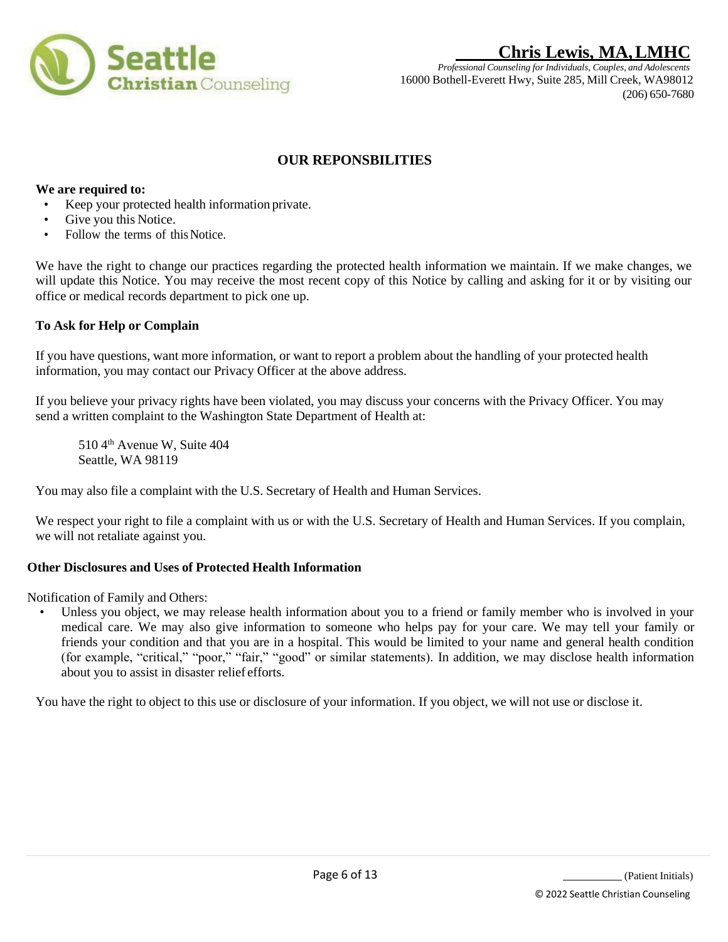

*Professional Counseling for Individuals, Couples, and Adolescents* 16000 Bothell-Everett Hwy, Suite 285, Mill Creek, WA98012 (206) 650-7680

## **OUR REPONSBILITIES**

### **We are required to:**

- Keep your protected health information private.
- Give you this Notice.
- Follow the terms of this Notice.

We have the right to change our practices regarding the protected health information we maintain. If we make changes, we will update this Notice. You may receive the most recent copy of this Notice by calling and asking for it or by visiting our office or medical records department to pick one up.

### **To Ask for Help or Complain**

If you have questions, want more information, or want to report a problem about the handling of your protected health information, you may contact our Privacy Officer at the above address.

If you believe your privacy rights have been violated, you may discuss your concerns with the Privacy Officer. You may send a written complaint to the Washington State Department of Health at:

510 4<sup>th</sup> Avenue W, Suite 404 Seattle, WA 98119

You may also file a complaint with the U.S. Secretary of Health and Human Services.

We respect your right to file a complaint with us or with the U.S. Secretary of Health and Human Services. If you complain, we will not retaliate against you.

### **Other Disclosures and Uses of Protected Health Information**

Notification of Family and Others:

• Unless you object, we may release health information about you to a friend or family member who is involved in your medical care. We may also give information to someone who helps pay for your care. We may tell your family or friends your condition and that you are in a hospital. This would be limited to your name and general health condition (for example, "critical," "poor," "fair," "good" or similar statements). In addition, we may disclose health information about you to assist in disaster relief efforts.

You have the right to object to this use or disclosure of your information. If you object, we will not use or disclose it.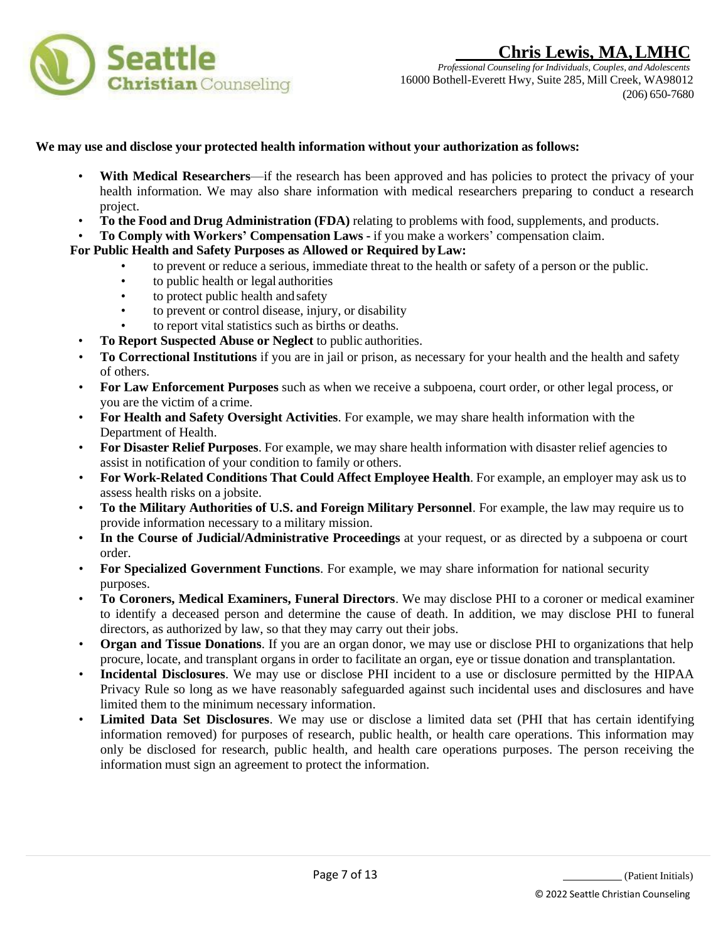

### **We may use and disclose your protected health information without your authorization as follows:**

- With Medical Researchers—if the research has been approved and has policies to protect the privacy of your health information. We may also share information with medical researchers preparing to conduct a research project.
- **To the Food and Drug Administration (FDA)** relating to problems with food, supplements, and products.
- **To Comply with Workers' Compensation Laws -** if you make a workers' compensation claim.

### **For Public Health and Safety Purposes as Allowed or Required byLaw:**

- to prevent or reduce a serious, immediate threat to the health or safety of a person or the public.
- to public health or legal authorities
- to protect public health and safety
- to prevent or control disease, injury, or disability
- to report vital statistics such as births or deaths.
- **To Report Suspected Abuse or Neglect** to public authorities.
- **To Correctional Institutions** if you are in jail or prison, as necessary for your health and the health and safety of others.
- **For Law Enforcement Purposes** such as when we receive a subpoena, court order, or other legal process, or you are the victim of a crime.
- **For Health and Safety Oversight Activities**. For example, we may share health information with the Department of Health.
- **For Disaster Relief Purposes**. For example, we may share health information with disaster relief agencies to assist in notification of your condition to family or others.
- **For Work-Related Conditions That Could Affect Employee Health**. For example, an employer may ask us to assess health risks on a jobsite.
- **To the Military Authorities of U.S. and Foreign Military Personnel**. For example, the law may require us to provide information necessary to a military mission.
- **In the Course of Judicial/Administrative Proceedings** at your request, or as directed by a subpoena or court order.
- **For Specialized Government Functions**. For example, we may share information for national security purposes.
- **To Coroners, Medical Examiners, Funeral Directors**. We may disclose PHI to a coroner or medical examiner to identify a deceased person and determine the cause of death. In addition, we may disclose PHI to funeral directors, as authorized by law, so that they may carry out their jobs.
- **Organ and Tissue Donations**. If you are an organ donor, we may use or disclose PHI to organizations that help procure, locate, and transplant organs in order to facilitate an organ, eye or tissue donation and transplantation.
- **Incidental Disclosures**. We may use or disclose PHI incident to a use or disclosure permitted by the HIPAA Privacy Rule so long as we have reasonably safeguarded against such incidental uses and disclosures and have limited them to the minimum necessary information.
- **Limited Data Set Disclosures**. We may use or disclose a limited data set (PHI that has certain identifying information removed) for purposes of research, public health, or health care operations. This information may only be disclosed for research, public health, and health care operations purposes. The person receiving the information must sign an agreement to protect the information.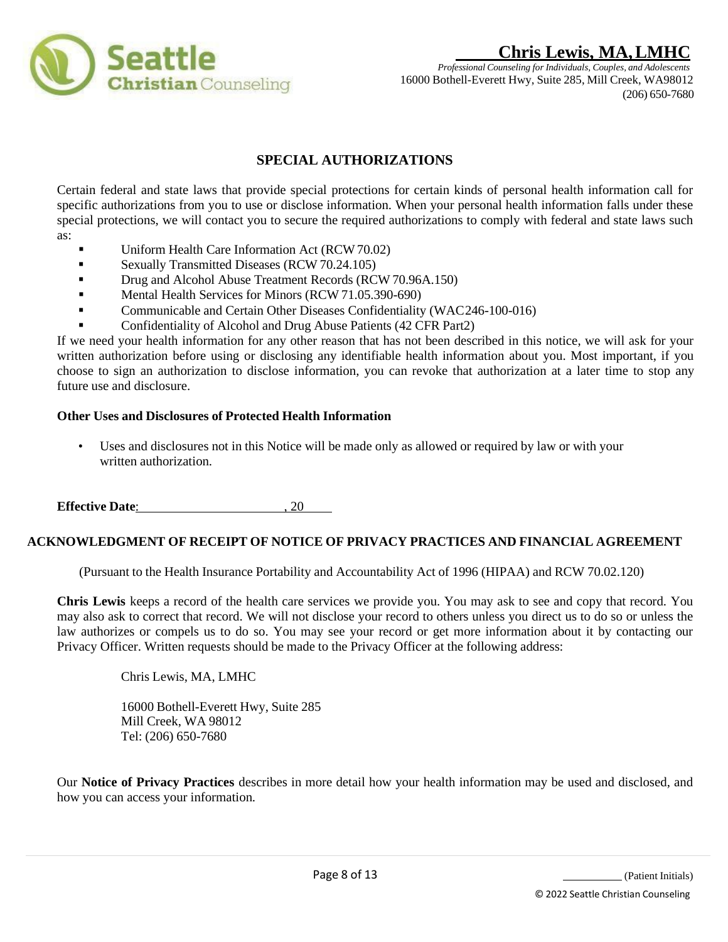

*Professional Counseling for Individuals, Couples, and Adolescents* 16000 Bothell-Everett Hwy, Suite 285, Mill Creek, WA98012 (206) 650-7680

## **SPECIAL AUTHORIZATIONS**

Certain federal and state laws that provide special protections for certain kinds of personal health information call for specific authorizations from you to use or disclose information. When your personal health information falls under these special protections, we will contact you to secure the required authorizations to comply with federal and state laws such as:

- Uniform Health Care Information Act (RCW70.02)
- **Sexually Transmitted Diseases (RCW 70.24.105)**
- **•** Drug and Alcohol Abuse Treatment Records (RCW 70.96A.150)
- **•** Mental Health Services for Minors (RCW 71.05.390-690)
- Communicable and Certain Other Diseases Confidentiality (WAC246-100-016)
- Confidentiality of Alcohol and Drug Abuse Patients (42 CFR Part2)

If we need your health information for any other reason that has not been described in this notice, we will ask for your written authorization before using or disclosing any identifiable health information about you. Most important, if you choose to sign an authorization to disclose information, you can revoke that authorization at a later time to stop any future use and disclosure.

### **Other Uses and Disclosures of Protected Health Information**

• Uses and disclosures not in this Notice will be made only as allowed or required by law or with your written authorization.

**Effective Date:** , 20

### **ACKNOWLEDGMENT OF RECEIPT OF NOTICE OF PRIVACY PRACTICES AND FINANCIAL AGREEMENT**

(Pursuant to the Health Insurance Portability and Accountability Act of 1996 (HIPAA) and RCW 70.02.120)

**Chris Lewis** keeps a record of the health care services we provide you. You may ask to see and copy that record. You may also ask to correct that record. We will not disclose your record to others unless you direct us to do so or unless the law authorizes or compels us to do so. You may see your record or get more information about it by contacting our Privacy Officer. Written requests should be made to the Privacy Officer at the following address:

Chris Lewis, MA, LMHC

16000 Bothell-Everett Hwy, Suite 285 Mill Creek, WA 98012 Tel: (206) 650-7680

Our **Notice of Privacy Practices** describes in more detail how your health information may be used and disclosed, and how you can access your information.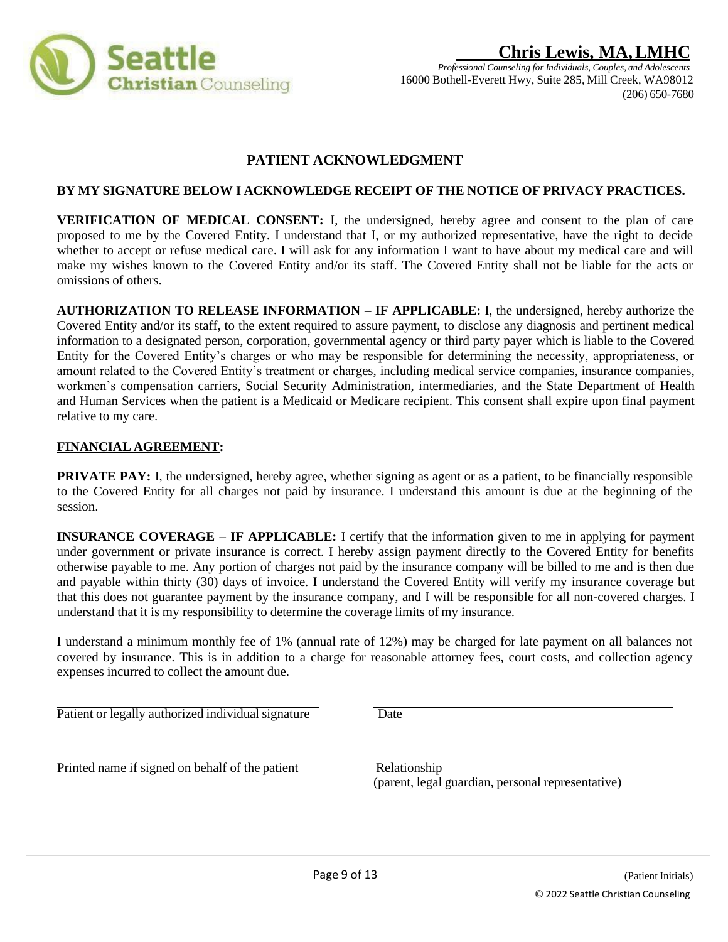

## **Chris Lewis, MA,LMHC** *Professional Counseling for Individuals, Couples, and Adolescents*

16000 Bothell-Everett Hwy, Suite 285, Mill Creek, WA98012 (206) 650-7680

## **PATIENT ACKNOWLEDGMENT**

### **BY MY SIGNATURE BELOW I ACKNOWLEDGE RECEIPT OF THE NOTICE OF PRIVACY PRACTICES.**

**VERIFICATION OF MEDICAL CONSENT:** I, the undersigned, hereby agree and consent to the plan of care proposed to me by the Covered Entity. I understand that I, or my authorized representative, have the right to decide whether to accept or refuse medical care. I will ask for any information I want to have about my medical care and will make my wishes known to the Covered Entity and/or its staff. The Covered Entity shall not be liable for the acts or omissions of others.

**AUTHORIZATION TO RELEASE INFORMATION – IF APPLICABLE:** I, the undersigned, hereby authorize the Covered Entity and/or its staff, to the extent required to assure payment, to disclose any diagnosis and pertinent medical information to a designated person, corporation, governmental agency or third party payer which is liable to the Covered Entity for the Covered Entity's charges or who may be responsible for determining the necessity, appropriateness, or amount related to the Covered Entity's treatment or charges, including medical service companies, insurance companies, workmen's compensation carriers, Social Security Administration, intermediaries, and the State Department of Health and Human Services when the patient is a Medicaid or Medicare recipient. This consent shall expire upon final payment relative to my care.

### **FINANCIAL AGREEMENT:**

**PRIVATE PAY:** I, the undersigned, hereby agree, whether signing as agent or as a patient, to be financially responsible to the Covered Entity for all charges not paid by insurance. I understand this amount is due at the beginning of the session.

**INSURANCE COVERAGE – IF APPLICABLE:** I certify that the information given to me in applying for payment under government or private insurance is correct. I hereby assign payment directly to the Covered Entity for benefits otherwise payable to me. Any portion of charges not paid by the insurance company will be billed to me and is then due and payable within thirty (30) days of invoice. I understand the Covered Entity will verify my insurance coverage but that this does not guarantee payment by the insurance company, and I will be responsible for all non-covered charges. I understand that it is my responsibility to determine the coverage limits of my insurance.

I understand a minimum monthly fee of 1% (annual rate of 12%) may be charged for late payment on all balances not covered by insurance. This is in addition to a charge for reasonable attorney fees, court costs, and collection agency expenses incurred to collect the amount due.

Patient or legally authorized individual signature Date

 $\overline{Printed}$  name if signed on behalf of the patient  $\overline{Relationship}$ 

(parent, legal guardian, personal representative)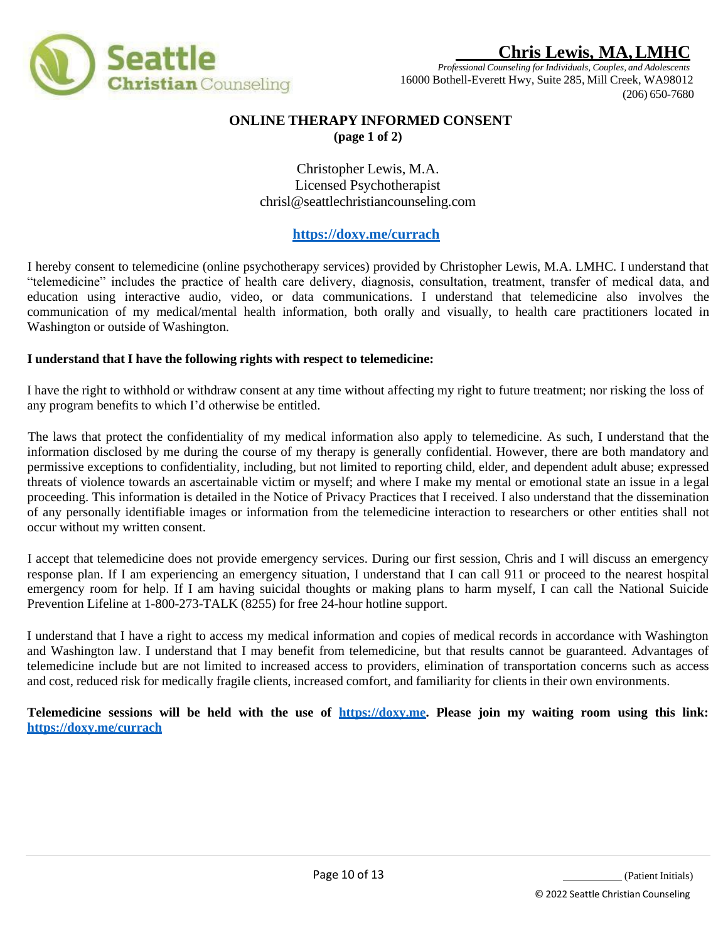

*Professional Counseling for Individuals, Couples, and Adolescents* 16000 Bothell-Everett Hwy, Suite 285, Mill Creek, WA98012 (206) 650-7680

### **ONLINE THERAPY INFORMED CONSENT (page 1 of 2)**

Christopher Lewis, M.A. Licensed Psychotherapist [chrisl@seattlechristiancounseling.com](mailto:chrisl@seattlechristiancounseling.com)

### **https://doxy.me/currach**

I hereby consent to telemedicine (online psychotherapy services) provided by Christopher Lewis, M.A. LMHC. I understand that "telemedicine" includes the practice of health care delivery, diagnosis, consultation, treatment, transfer of medical data, and education using interactive audio, video, or data communications. I understand that telemedicine also involves the communication of my medical/mental health information, both orally and visually, to health care practitioners located in Washington or outside of Washington.

### **I understand that I have the following rights with respect to telemedicine:**

I have the right to withhold or withdraw consent at any time without affecting my right to future treatment; nor risking the loss of any program benefits to which I'd otherwise be entitled.

The laws that protect the confidentiality of my medical information also apply to telemedicine. As such, I understand that the information disclosed by me during the course of my therapy is generally confidential. However, there are both mandatory and permissive exceptions to confidentiality, including, but not limited to reporting child, elder, and dependent adult abuse; expressed threats of violence towards an ascertainable victim or myself; and where I make my mental or emotional state an issue in a legal proceeding. This information is detailed in the Notice of Privacy Practices that I received. I also understand that the dissemination of any personally identifiable images or information from the telemedicine interaction to researchers or other entities shall not occur without my written consent.

I accept that telemedicine does not provide emergency services. During our first session, Chris and I will discuss an emergency response plan. If I am experiencing an emergency situation, I understand that I can call 911 or proceed to the nearest hospital emergency room for help. If I am having suicidal thoughts or making plans to harm myself, I can call the National Suicide Prevention Lifeline at 1-800-273-TALK (8255) for free 24-hour hotline support.

I understand that I have a right to access my medical information and copies of medical records in accordance with Washington and Washington law. I understand that I may benefit from telemedicine, but that results cannot be guaranteed. Advantages of telemedicine include but are not limited to increased access to providers, elimination of transportation concerns such as access and cost, reduced risk for medically fragile clients, increased comfort, and familiarity for clients in their own environments.

Telemedicine sessions will be held with the use of https://doxy.me. Please join my waiting room using this link: **https://doxy.me/currach**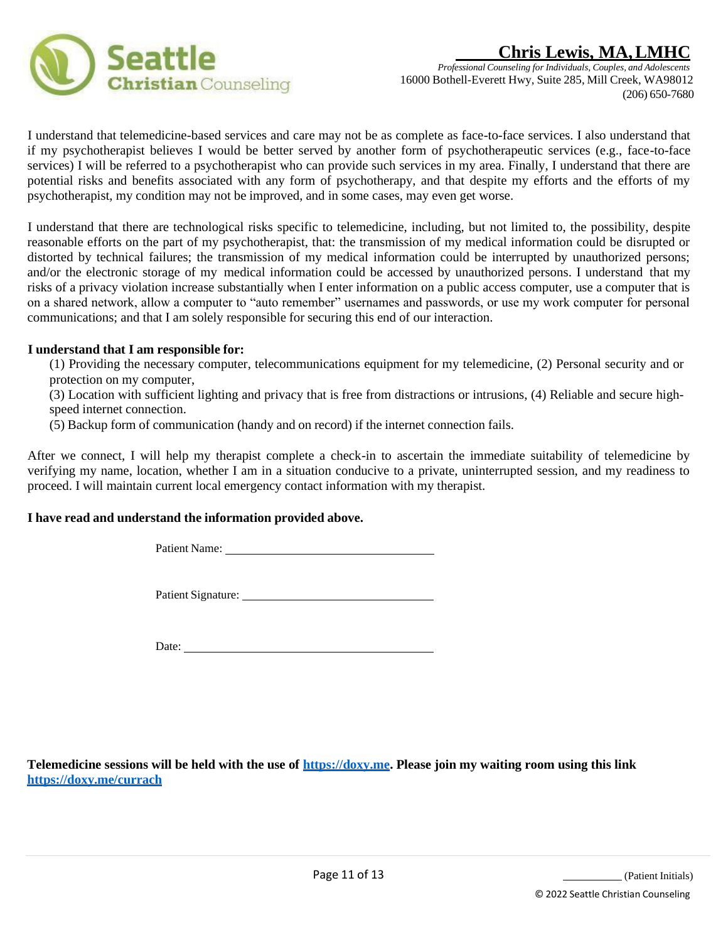



I understand that telemedicine-based services and care may not be as complete as face-to-face services. I also understand that if my psychotherapist believes I would be better served by another form of psychotherapeutic services (e.g., face-to-face services) I will be referred to a psychotherapist who can provide such services in my area. Finally, I understand that there are potential risks and benefits associated with any form of psychotherapy, and that despite my efforts and the efforts of my psychotherapist, my condition may not be improved, and in some cases, may even get worse.

I understand that there are technological risks specific to telemedicine, including, but not limited to, the possibility, despite reasonable efforts on the part of my psychotherapist, that: the transmission of my medical information could be disrupted or distorted by technical failures; the transmission of my medical information could be interrupted by unauthorized persons; and/or the electronic storage of my medical information could be accessed by unauthorized persons. I understand that my risks of a privacy violation increase substantially when I enter information on a public access computer, use a computer that is on a shared network, allow a computer to "auto remember" usernames and passwords, or use my work computer for personal communications; and that I am solely responsible for securing this end of our interaction.

#### **I understand that I am responsible for:**

(1) Providing the necessary computer, telecommunications equipment for my telemedicine, (2) Personal security and or protection on my computer,

(3) Location with sufficient lighting and privacy that is free from distractions or intrusions, (4) Reliable and secure highspeed internet connection.

(5) Backup form of communication (handy and on record) if the internet connection fails.

After we connect, I will help my therapist complete a check-in to ascertain the immediate suitability of telemedicine by verifying my name, location, whether I am in a situation conducive to a private, uninterrupted session, and my readiness to proceed. I will maintain current local emergency contact information with my therapist.

### **I have read and understand the information provided above.**

Patient Name: \_

Patient Signature:

Date:

**Telemedicine sessions will be held with the use of https://doxy.me. Please join my waiting room using this link https://doxy.me/currach**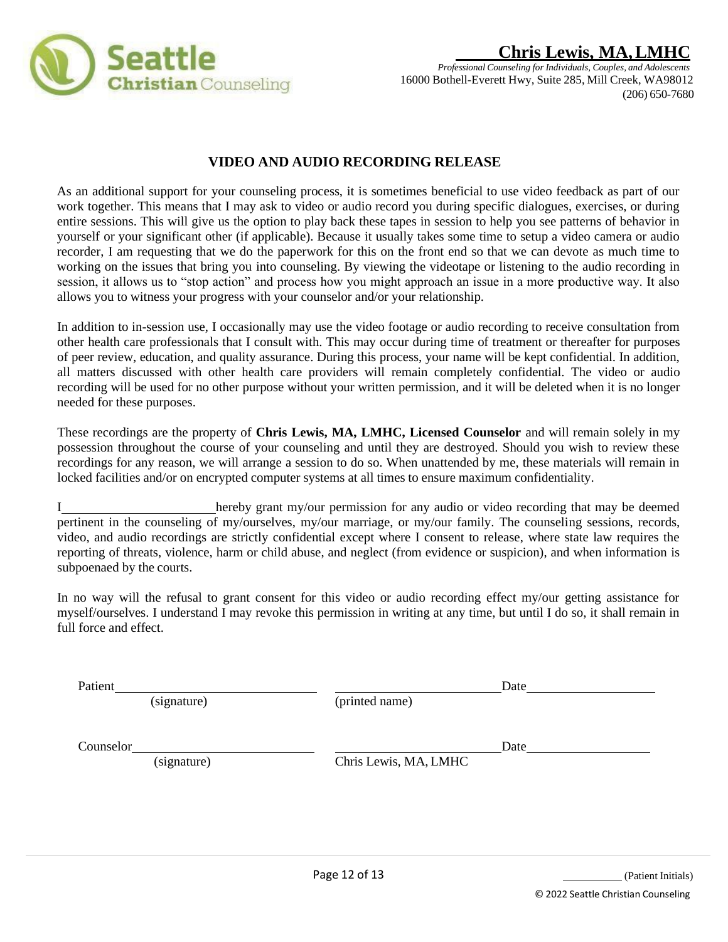

### **VIDEO AND AUDIO RECORDING RELEASE**

As an additional support for your counseling process, it is sometimes beneficial to use video feedback as part of our work together. This means that I may ask to video or audio record you during specific dialogues, exercises, or during entire sessions. This will give us the option to play back these tapes in session to help you see patterns of behavior in yourself or your significant other (if applicable). Because it usually takes some time to setup a video camera or audio recorder, I am requesting that we do the paperwork for this on the front end so that we can devote as much time to working on the issues that bring you into counseling. By viewing the videotape or listening to the audio recording in session, it allows us to "stop action" and process how you might approach an issue in a more productive way. It also allows you to witness your progress with your counselor and/or your relationship.

In addition to in-session use, I occasionally may use the video footage or audio recording to receive consultation from other health care professionals that I consult with. This may occur during time of treatment or thereafter for purposes of peer review, education, and quality assurance. During this process, your name will be kept confidential. In addition, all matters discussed with other health care providers will remain completely confidential. The video or audio recording will be used for no other purpose without your written permission, and it will be deleted when it is no longer needed for these purposes.

These recordings are the property of **Chris Lewis, MA, LMHC, Licensed Counselor** and will remain solely in my possession throughout the course of your counseling and until they are destroyed. Should you wish to review these recordings for any reason, we will arrange a session to do so. When unattended by me, these materials will remain in locked facilities and/or on encrypted computer systems at all times to ensure maximum confidentiality.

I hereby grant my/our permission for any audio or video recording that may be deemed pertinent in the counseling of my/ourselves, my/our marriage, or my/our family. The counseling sessions, records, video, and audio recordings are strictly confidential except where I consent to release, where state law requires the reporting of threats, violence, harm or child abuse, and neglect (from evidence or suspicion), and when information is subpoenaed by the courts.

In no way will the refusal to grant consent for this video or audio recording effect my/our getting assistance for myself/ourselves. I understand I may revoke this permission in writing at any time, but until I do so, it shall remain in full force and effect.

Patient Date

(signature) (printed name)

**Counselor** Date **Date** 

(signature) Chris Lewis, MA, LMHC